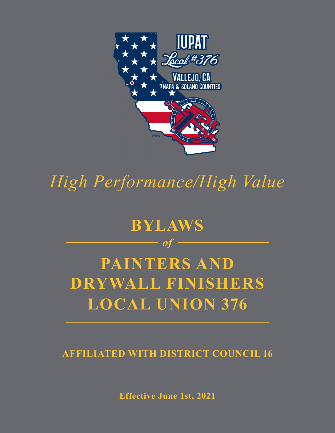

*High Performance/High Value*

# **BYLAWS** *of* **PAINTERS AND DRYWALL FINISHERS LOCAL UNION 376**

**AFFILIATED WITH DISTRICT COUNCIL 16**

**Effective June 1st, 2021**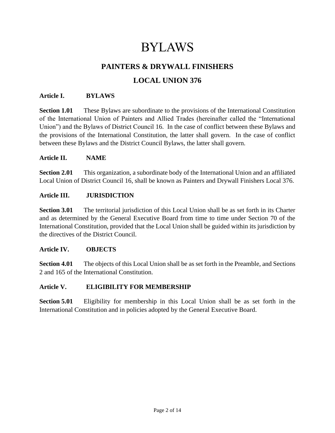# BYLAWS

# **PAINTERS & DRYWALL FINISHERS LOCAL UNION 376**

# **Article I. BYLAWS**

**Section 1.01** These Bylaws are subordinate to the provisions of the International Constitution of the International Union of Painters and Allied Trades (hereinafter called the "International Union") and the Bylaws of District Council 16. In the case of conflict between these Bylaws and the provisions of the International Constitution, the latter shall govern. In the case of conflict between these Bylaws and the District Council Bylaws, the latter shall govern.

#### **Article II. NAME**

**Section 2.01** This organization, a subordinate body of the International Union and an affiliated Local Union of District Council 16, shall be known as Painters and Drywall Finishers Local 376.

#### **Article III. JURISDICTION**

**Section 3.01** The territorial jurisdiction of this Local Union shall be as set forth in its Charter and as determined by the General Executive Board from time to time under Section 70 of the International Constitution, provided that the Local Union shall be guided within its jurisdiction by the directives of the District Council.

#### **Article IV. OBJECTS**

**Section 4.01** The objects of this Local Union shall be as set forth in the Preamble, and Sections 2 and 165 of the International Constitution.

# **Article V. ELIGIBILITY FOR MEMBERSHIP**

**Section 5.01** Eligibility for membership in this Local Union shall be as set forth in the International Constitution and in policies adopted by the General Executive Board.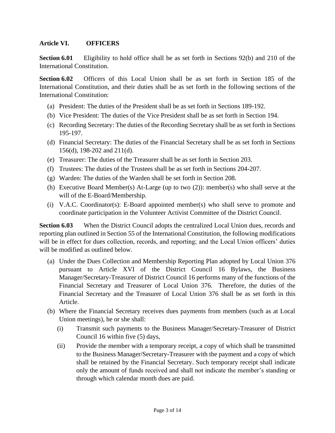# **Article VI. OFFICERS**

**Section 6.01** Eligibility to hold office shall be as set forth in Sections 92(b) and 210 of the International Constitution.

**Section 6.02** Officers of this Local Union shall be as set forth in Section 185 of the International Constitution, and their duties shall be as set forth in the following sections of the International Constitution:

- (a) President: The duties of the President shall be as set forth in Sections 189-192.
- (b) Vice President: The duties of the Vice President shall be as set forth in Section 194.
- (c) Recording Secretary: The duties of the Recording Secretary shall be as set forth in Sections 195-197.
- (d) Financial Secretary: The duties of the Financial Secretary shall be as set forth in Sections 156(d), 198-202 and 211(d).
- (e) Treasurer: The duties of the Treasurer shall be as set forth in Section 203.
- (f) Trustees: The duties of the Trustees shall be as set forth in Sections 204-207.
- (g) Warden: The duties of the Warden shall be set forth in Section 208.
- (h) Executive Board Member(s) At-Large (up to two (2)): member(s) who shall serve at the will of the E-Board/Membership.
- (i) V.A.C. Coordinator(s): E-Board appointed member(s) who shall serve to promote and coordinate participation in the Volunteer Activist Committee of the District Council.

**Section 6.03** When the District Council adopts the centralized Local Union dues, records and reporting plan outlined in Section 55 of the International Constitution, the following modifications will be in effect for dues collection, records, and reporting; and the Local Union officers' duties will be modified as outlined below.

- (a) Under the Dues Collection and Membership Reporting Plan adopted by Local Union 376 pursuant to Article XVI of the District Council 16 Bylaws, the Business Manager/Secretary-Treasurer of District Council 16 performs many of the functions of the Financial Secretary and Treasurer of Local Union 376. Therefore, the duties of the Financial Secretary and the Treasurer of Local Union 376 shall be as set forth in this Article.
- (b) Where the Financial Secretary receives dues payments from members (such as at Local Union meetings), he or she shall:
	- (i) Transmit such payments to the Business Manager/Secretary-Treasurer of District Council 16 within five (5) days,
	- (ii) Provide the member with a temporary receipt, a copy of which shall be transmitted to the Business Manager/Secretary-Treasurer with the payment and a copy of which shall be retained by the Financial Secretary. Such temporary receipt shall indicate only the amount of funds received and shall not indicate the member's standing or through which calendar month dues are paid.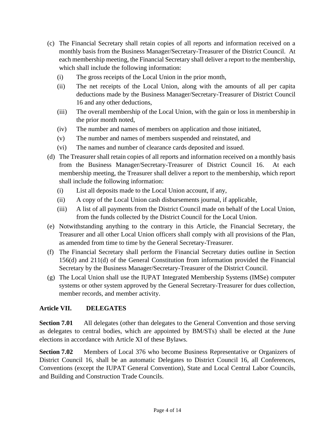- (c) The Financial Secretary shall retain copies of all reports and information received on a monthly basis from the Business Manager/Secretary-Treasurer of the District Council. At each membership meeting, the Financial Secretary shall deliver a report to the membership, which shall include the following information:
	- (i) The gross receipts of the Local Union in the prior month,
	- (ii) The net receipts of the Local Union, along with the amounts of all per capita deductions made by the Business Manager/Secretary-Treasurer of District Council 16 and any other deductions,
	- (iii) The overall membership of the Local Union, with the gain or loss in membership in the prior month noted,
	- (iv) The number and names of members on application and those initiated,
	- (v) The number and names of members suspended and reinstated, and
	- (vi) The names and number of clearance cards deposited and issued.
- (d) The Treasurer shall retain copies of all reports and information received on a monthly basis from the Business Manager/Secretary-Treasurer of District Council 16. At each membership meeting, the Treasurer shall deliver a report to the membership, which report shall include the following information:
	- (i) List all deposits made to the Local Union account, if any,
	- (ii) A copy of the Local Union cash disbursements journal, if applicable,
	- (iii) A list of all payments from the District Council made on behalf of the Local Union, from the funds collected by the District Council for the Local Union.
- (e) Notwithstanding anything to the contrary in this Article, the Financial Secretary, the Treasurer and all other Local Union officers shall comply with all provisions of the Plan, as amended from time to time by the General Secretary-Treasurer.
- (f) The Financial Secretary shall perform the Financial Secretary duties outline in Section 156(d) and 211(d) of the General Constitution from information provided the Financial Secretary by the Business Manager/Secretary-Treasurer of the District Council.
- (g) The Local Union shall use the IUPAT Integrated Membership Systems (IMSe) computer systems or other system approved by the General Secretary-Treasurer for dues collection, member records, and member activity.

# **Article VII. DELEGATES**

**Section 7.01** All delegates (other than delegates to the General Convention and those serving as delegates to central bodies, which are appointed by BM/STs) shall be elected at the June elections in accordance with Article XI of these Bylaws.

**Section 7.02** Members of Local 376 who become Business Representative or Organizers of District Council 16, shall be an automatic Delegates to District Council 16, all Conferences, Conventions (except the IUPAT General Convention), State and Local Central Labor Councils, and Building and Construction Trade Councils.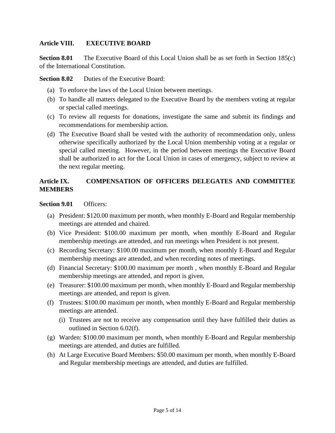# **Article VIII. EXECUTIVE BOARD**

**Section 8.01** The Executive Board of this Local Union shall be as set forth in Section 185(c) of the International Constitution.

**Section 8.02** Duties of the Executive Board:

- (a) To enforce the laws of the Local Union between meetings.
- (b) To handle all matters delegated to the Executive Board by the members voting at regular or special called meetings.
- (c) To review all requests for donations, investigate the same and submit its findings and recommendations for membership action.
- (d) The Executive Board shall be vested with the authority of recommendation only, unless otherwise specifically authorized by the Local Union membership voting at a regular or special called meeting. However, in the period between meetings the Executive Board shall be authorized to act for the Local Union in cases of emergency, subject to review at the next regular meeting.

# **Article IX. COMPENSATION OF OFFICERS DELEGATES AND COMMITTEE MEMBERS**

#### **Section 9.01** Officers:

- (a) President: \$120.00 maximum per month, when monthly E-Board and Regular membership meetings are attended and chaired.
- (b) Vice President: \$100.00 maximum per month, when monthly E-Board and Regular membership meetings are attended, and run meetings when President is not present.
- (c) Recording Secretary: \$100.00 maximum per month, when monthly E-Board and Regular membership meetings are attended, and when recording notes of meetings.
- (d) Financial Secretary: \$100.00 maximum per month , when monthly E-Board and Regular membership meetings are attended, and report is given.
- (e) Treasurer: \$100.00 maximum per month, when monthly E-Board and Regular membership meetings are attended, and report is given.
- (f) Trustees: \$100.00 maximum per month, when monthly E-Board and Regular membership meetings are attended.
	- (i) Trustees are not to receive any compensation until they have fulfilled their duties as outlined in Section 6.02(f).
- (g) Warden: \$100.00 maximum per month, when monthly E-Board and Regular membership meetings are attended, and duties are fulfilled.
- (h) At Large Executive Board Members: \$50.00 maximum per month, when monthly E-Board and Regular membership meetings are attended, and duties are fulfilled.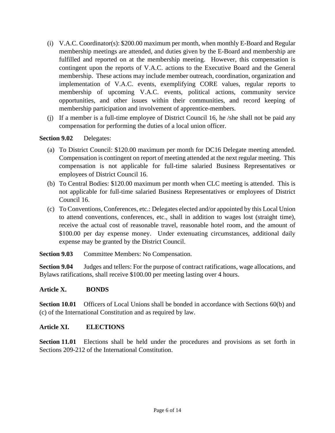- (i) V.A.C. Coordinator(s): \$200.00 maximum per month, when monthly E-Board and Regular membership meetings are attended, and duties given by the E-Board and membership are fulfilled and reported on at the membership meeting. However, this compensation is contingent upon the reports of V.A.C. actions to the Executive Board and the General membership. These actions may include member outreach, coordination, organization and implementation of V.A.C. events, exemplifying CORE values, regular reports to membership of upcoming V.A.C. events, political actions, community service opportunities, and other issues within their communities, and record keeping of membership participation and involvement of apprentice-members.
- (j) If a member is a full-time employee of District Council 16, he /she shall not be paid any compensation for performing the duties of a local union officer.

# **Section 9.02** Delegates:

- (a) To District Council: \$120.00 maximum per month for DC16 Delegate meeting attended. Compensation is contingent on report of meeting attended at the next regular meeting. This compensation is not applicable for full-time salaried Business Representatives or employees of District Council 16.
- (b) To Central Bodies: \$120.00 maximum per month when CLC meeting is attended. This is not applicable for full-time salaried Business Representatives or employees of District Council 16.
- (c) To Conventions, Conferences, etc.: Delegates elected and/or appointed by this Local Union to attend conventions, conferences, etc., shall in addition to wages lost (straight time), receive the actual cost of reasonable travel, reasonable hotel room, and the amount of \$100.00 per day expense money. Under extenuating circumstances, additional daily expense may be granted by the District Council.

**Section 9.03** Committee Members: No Compensation.

**Section 9.04** Judges and tellers: For the purpose of contract ratifications, wage allocations, and Bylaws ratifications, shall receive \$100.00 per meeting lasting over 4 hours.

# **Article X. BONDS**

**Section 10.01** Officers of Local Unions shall be bonded in accordance with Sections 60(b) and (c) of the International Constitution and as required by law.

# **Article XI. ELECTIONS**

**Section 11.01** Elections shall be held under the procedures and provisions as set forth in Sections 209-212 of the International Constitution.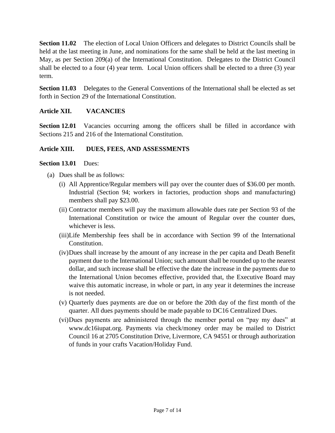**Section 11.02** The election of Local Union Officers and delegates to District Councils shall be held at the last meeting in June, and nominations for the same shall be held at the last meeting in May, as per Section 209(a) of the International Constitution. Delegates to the District Council shall be elected to a four (4) year term. Local Union officers shall be elected to a three (3) year term.

**Section 11.03** Delegates to the General Conventions of the International shall be elected as set forth in Section 29 of the International Constitution.

# **Article XII. VACANCIES**

**Section 12.01** Vacancies occurring among the officers shall be filled in accordance with Sections 215 and 216 of the International Constitution.

#### **Article XIII. DUES, FEES, AND ASSESSMENTS**

#### **Section 13.01** Dues:

- (a) Dues shall be as follows:
	- (i) All Apprentice/Regular members will pay over the counter dues of \$36.00 per month. Industrial (Section 94; workers in factories, production shops and manufacturing) members shall pay \$23.00.
	- (ii) Contractor members will pay the maximum allowable dues rate per Section 93 of the International Constitution or twice the amount of Regular over the counter dues, whichever is less.
	- (iii)Life Membership fees shall be in accordance with Section 99 of the International Constitution.
	- (iv)Dues shall increase by the amount of any increase in the per capita and Death Benefit payment due to the International Union; such amount shall be rounded up to the nearest dollar, and such increase shall be effective the date the increase in the payments due to the International Union becomes effective, provided that, the Executive Board may waive this automatic increase, in whole or part, in any year it determines the increase is not needed.
	- (v) Quarterly dues payments are due on or before the 20th day of the first month of the quarter. All dues payments should be made payable to DC16 Centralized Dues.
	- (vi)Dues payments are administered through the member portal on "pay my dues" at www.dc16iupat.org. Payments via check/money order may be mailed to District Council 16 at 2705 Constitution Drive, Livermore, CA 94551 or through authorization of funds in your crafts Vacation/Holiday Fund.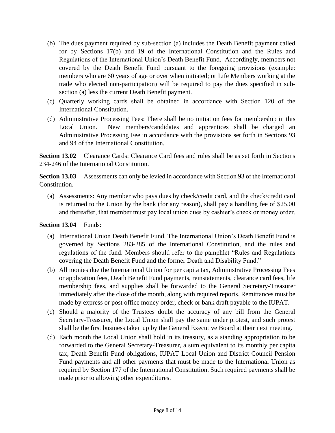- (b) The dues payment required by sub-section (a) includes the Death Benefit payment called for by Sections 17(b) and 19 of the International Constitution and the Rules and Regulations of the International Union's Death Benefit Fund. Accordingly, members not covered by the Death Benefit Fund pursuant to the foregoing provisions (example: members who are 60 years of age or over when initiated; or Life Members working at the trade who elected non-participation) will be required to pay the dues specified in subsection (a) less the current Death Benefit payment.
- (c) Quarterly working cards shall be obtained in accordance with Section 120 of the International Constitution.
- (d) Administrative Processing Fees: There shall be no initiation fees for membership in this Local Union. New members/candidates and apprentices shall be charged an Administrative Processing Fee in accordance with the provisions set forth in Sections 93 and 94 of the International Constitution.

**Section 13.02** Clearance Cards: Clearance Card fees and rules shall be as set forth in Sections 234-246 of the International Constitution.

**Section 13.03** Assessments can only be levied in accordance with Section 93 of the International Constitution.

(a) Assessments: Any member who pays dues by check/credit card, and the check/credit card is returned to the Union by the bank (for any reason), shall pay a handling fee of \$25.00 and thereafter, that member must pay local union dues by cashier's check or money order.

# **Section 13.04** Funds:

- (a) International Union Death Benefit Fund. The International Union's Death Benefit Fund is governed by Sections 283-285 of the International Constitution, and the rules and regulations of the fund. Members should refer to the pamphlet "Rules and Regulations covering the Death Benefit Fund and the former Death and Disability Fund."
- (b) All monies due the International Union for per capita tax, Administrative Processing Fees or application fees, Death Benefit Fund payments, reinstatements, clearance card fees, life membership fees, and supplies shall be forwarded to the General Secretary-Treasurer immediately after the close of the month, along with required reports. Remittances must be made by express or post office money order, check or bank draft payable to the IUPAT.
- (c) Should a majority of the Trustees doubt the accuracy of any bill from the General Secretary-Treasurer, the Local Union shall pay the same under protest, and such protest shall be the first business taken up by the General Executive Board at their next meeting.
- (d) Each month the Local Union shall hold in its treasury, as a standing appropriation to be forwarded to the General Secretary-Treasurer, a sum equivalent to its monthly per capita tax, Death Benefit Fund obligations, IUPAT Local Union and District Council Pension Fund payments and all other payments that must be made to the International Union as required by Section 177 of the International Constitution. Such required payments shall be made prior to allowing other expenditures.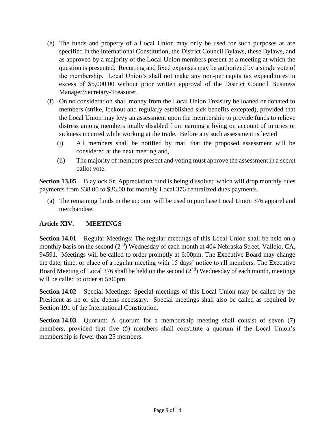- (e) The funds and property of a Local Union may only be used for such purposes as are specified in the International Constitution, the District Council Bylaws, these Bylaws, and as approved by a majority of the Local Union members present at a meeting at which the question is presented. Recurring and fixed expenses may be authorized by a single vote of the membership. Local Union's shall not make any non-per capita tax expenditures in excess of \$5,000.00 without prior written approval of the District Council Business Manager/Secretary-Treasurer.
- (f) On no consideration shall money from the Local Union Treasury be loaned or donated to members (strike, lockout and regularly established sick benefits excepted), provided that the Local Union may levy an assessment upon the membership to provide funds to relieve distress among members totally disabled from earning a living on account of injuries or sickness incurred while working at the trade. Before any such assessment is levied
	- (i) All members shall be notified by mail that the proposed assessment will be considered at the next meeting and,
	- (ii) The majority of members present and voting must approve the assessment in a secret ballot vote.

**Section 13.05** Blaylock Sr. Appreciation fund is being dissolved which will drop monthly dues payments from \$38.00 to \$36.00 for monthly Local 376 centralized dues payments.

(a) The remaining funds in the account will be used to purchase Local Union 376 apparel and merchandise.

# **Article XIV. MEETINGS**

**Section 14.01** Regular Meetings: The regular meetings of this Local Union shall be held on a monthly basis on the second (2<sup>nd</sup>) Wednesday of each month at 404 Nebraska Street, Vallejo, CA, 94591. Meetings will be called to order promptly at 6:00pm. The Executive Board may change the date, time, or place of a regular meeting with 15 days' notice to all members. The Executive Board Meeting of Local 376 shall be held on the second  $(2<sup>nd</sup>)$  Wednesday of each month, meetings will be called to order at 5:00pm.

**Section 14.02** Special Meetings: Special meetings of this Local Union may be called by the President as he or she deems necessary. Special meetings shall also be called as required by Section 191 of the International Constitution.

**Section 14.03** Quorum: A quorum for a membership meeting shall consist of seven (7) members, provided that five (5) members shall constitute a quorum if the Local Union's membership is fewer than 25 members.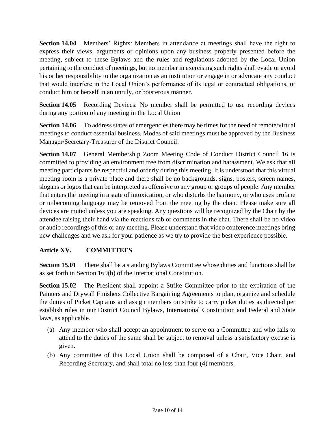**Section 14.04** Members' Rights: Members in attendance at meetings shall have the right to express their views, arguments or opinions upon any business properly presented before the meeting, subject to these Bylaws and the rules and regulations adopted by the Local Union pertaining to the conduct of meetings, but no member in exercising such rights shall evade or avoid his or her responsibility to the organization as an institution or engage in or advocate any conduct that would interfere in the Local Union's performance of its legal or contractual obligations, or conduct him or herself in an unruly, or boisterous manner.

**Section 14.05** Recording Devices: No member shall be permitted to use recording devices during any portion of any meeting in the Local Union

**Section 14.06** To address states of emergencies there may be times for the need of remote/virtual meetings to conduct essential business. Modes of said meetings must be approved by the Business Manager/Secretary-Treasurer of the District Council.

**Section 14.07** General Membership Zoom Meeting Code of Conduct District Council 16 is committed to providing an environment free from discrimination and harassment. We ask that all meeting participants be respectful and orderly during this meeting. It is understood that this virtual meeting room is a private place and there shall be no backgrounds, signs, posters, screen names, slogans or logos that can be interpreted as offensive to any group or groups of people. Any member that enters the meeting in a state of intoxication, or who disturbs the harmony, or who uses profane or unbecoming language may be removed from the meeting by the chair. Please make sure all devices are muted unless you are speaking. Any questions will be recognized by the Chair by the attendee raising their hand via the reactions tab or comments in the chat. There shall be no video or audio recordings of this or any meeting. Please understand that video conference meetings bring new challenges and we ask for your patience as we try to provide the best experience possible.

# **Article XV. COMMITTEES**

**Section 15.01** There shall be a standing Bylaws Committee whose duties and functions shall be as set forth in Section 169(b) of the International Constitution.

**Section 15.02** The President shall appoint a Strike Committee prior to the expiration of the Painters and Drywall Finishers Collective Bargaining Agreements to plan, organize and schedule the duties of Picket Captains and assign members on strike to carry picket duties as directed per establish rules in our District Council Bylaws, International Constitution and Federal and State laws, as applicable.

- (a) Any member who shall accept an appointment to serve on a Committee and who fails to attend to the duties of the same shall be subject to removal unless a satisfactory excuse is given.
- (b) Any committee of this Local Union shall be composed of a Chair, Vice Chair, and Recording Secretary, and shall total no less than four (4) members.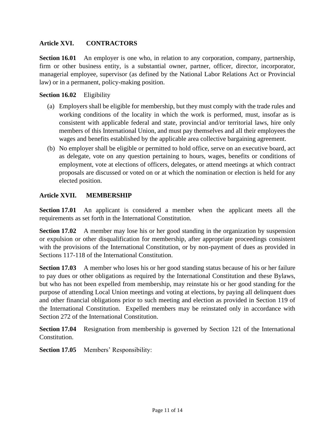# **Article XVI. CONTRACTORS**

**Section 16.01** An employer is one who, in relation to any corporation, company, partnership, firm or other business entity, is a substantial owner, partner, officer, director, incorporator, managerial employee, supervisor (as defined by the National Labor Relations Act or Provincial law) or in a permanent, policy-making position.

#### **Section 16.02** Eligibility

- (a) Employers shall be eligible for membership, but they must comply with the trade rules and working conditions of the locality in which the work is performed, must, insofar as is consistent with applicable federal and state, provincial and/or territorial laws, hire only members of this International Union, and must pay themselves and all their employees the wages and benefits established by the applicable area collective bargaining agreement.
- (b) No employer shall be eligible or permitted to hold office, serve on an executive board, act as delegate, vote on any question pertaining to hours, wages, benefits or conditions of employment, vote at elections of officers, delegates, or attend meetings at which contract proposals are discussed or voted on or at which the nomination or election is held for any elected position.

# **Article XVII. MEMBERSHIP**

**Section 17.01** An applicant is considered a member when the applicant meets all the requirements as set forth in the International Constitution.

**Section 17.02** A member may lose his or her good standing in the organization by suspension or expulsion or other disqualification for membership, after appropriate proceedings consistent with the provisions of the International Constitution, or by non-payment of dues as provided in Sections 117-118 of the International Constitution.

**Section 17.03** A member who loses his or her good standing status because of his or her failure to pay dues or other obligations as required by the International Constitution and these Bylaws, but who has not been expelled from membership, may reinstate his or her good standing for the purpose of attending Local Union meetings and voting at elections, by paying all delinquent dues and other financial obligations prior to such meeting and election as provided in Section 119 of the International Constitution. Expelled members may be reinstated only in accordance with Section 272 of the International Constitution.

**Section 17.04** Resignation from membership is governed by Section 121 of the International Constitution.

**Section 17.05** Members' Responsibility: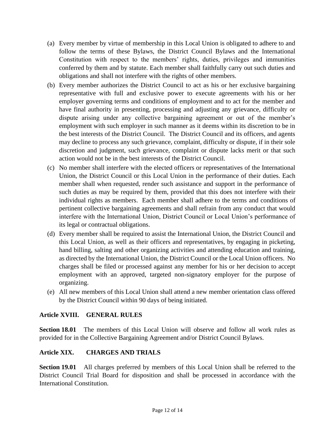- (a) Every member by virtue of membership in this Local Union is obligated to adhere to and follow the terms of these Bylaws, the District Council Bylaws and the International Constitution with respect to the members' rights, duties, privileges and immunities conferred by them and by statute. Each member shall faithfully carry out such duties and obligations and shall not interfere with the rights of other members.
- (b) Every member authorizes the District Council to act as his or her exclusive bargaining representative with full and exclusive power to execute agreements with his or her employer governing terms and conditions of employment and to act for the member and have final authority in presenting, processing and adjusting any grievance, difficulty or dispute arising under any collective bargaining agreement or out of the member's employment with such employer in such manner as it deems within its discretion to be in the best interests of the District Council. The District Council and its officers, and agents may decline to process any such grievance, complaint, difficulty or dispute, if in their sole discretion and judgment, such grievance, complaint or dispute lacks merit or that such action would not be in the best interests of the District Council.
- (c) No member shall interfere with the elected officers or representatives of the International Union, the District Council or this Local Union in the performance of their duties. Each member shall when requested, render such assistance and support in the performance of such duties as may be required by them, provided that this does not interfere with their individual rights as members. Each member shall adhere to the terms and conditions of pertinent collective bargaining agreements and shall refrain from any conduct that would interfere with the International Union, District Council or Local Union's performance of its legal or contractual obligations.
- (d) Every member shall be required to assist the International Union, the District Council and this Local Union, as well as their officers and representatives, by engaging in picketing, hand billing, salting and other organizing activities and attending education and training, as directed by the International Union, the District Council or the Local Union officers. No charges shall be filed or processed against any member for his or her decision to accept employment with an approved, targeted non-signatory employer for the purpose of organizing.
- (e) All new members of this Local Union shall attend a new member orientation class offered by the District Council within 90 days of being initiated.

# **Article XVIII. GENERAL RULES**

**Section 18.01** The members of this Local Union will observe and follow all work rules as provided for in the Collective Bargaining Agreement and/or District Council Bylaws.

# **Article XIX. CHARGES AND TRIALS**

**Section 19.01** All charges preferred by members of this Local Union shall be referred to the District Council Trial Board for disposition and shall be processed in accordance with the International Constitution.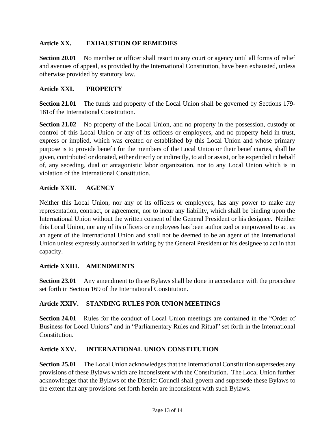# **Article XX. EXHAUSTION OF REMEDIES**

**Section 20.01** No member or officer shall resort to any court or agency until all forms of relief and avenues of appeal, as provided by the International Constitution, have been exhausted, unless otherwise provided by statutory law.

# **Article XXI. PROPERTY**

**Section 21.01** The funds and property of the Local Union shall be governed by Sections 179- 181of the International Constitution.

**Section 21.02** No property of the Local Union, and no property in the possession, custody or control of this Local Union or any of its officers or employees, and no property held in trust, express or implied, which was created or established by this Local Union and whose primary purpose is to provide benefit for the members of the Local Union or their beneficiaries, shall be given, contributed or donated, either directly or indirectly, to aid or assist, or be expended in behalf of, any seceding, dual or antagonistic labor organization, nor to any Local Union which is in violation of the International Constitution.

#### **Article XXII. AGENCY**

Neither this Local Union, nor any of its officers or employees, has any power to make any representation, contract, or agreement, nor to incur any liability, which shall be binding upon the International Union without the written consent of the General President or his designee. Neither this Local Union, nor any of its officers or employees has been authorized or empowered to act as an agent of the International Union and shall not be deemed to be an agent of the International Union unless expressly authorized in writing by the General President or his designee to act in that capacity.

# **Article XXIII. AMENDMENTS**

**Section 23.01** Any amendment to these Bylaws shall be done in accordance with the procedure set forth in Section 169 of the International Constitution.

# **Article XXIV. STANDING RULES FOR UNION MEETINGS**

**Section 24.01** Rules for the conduct of Local Union meetings are contained in the "Order of Business for Local Unions" and in "Parliamentary Rules and Ritual" set forth in the International Constitution.

# **Article XXV. INTERNATIONAL UNION CONSTITUTION**

**Section 25.01** The Local Union acknowledges that the International Constitution supersedes any provisions of these Bylaws which are inconsistent with the Constitution. The Local Union further acknowledges that the Bylaws of the District Council shall govern and supersede these Bylaws to the extent that any provisions set forth herein are inconsistent with such Bylaws.